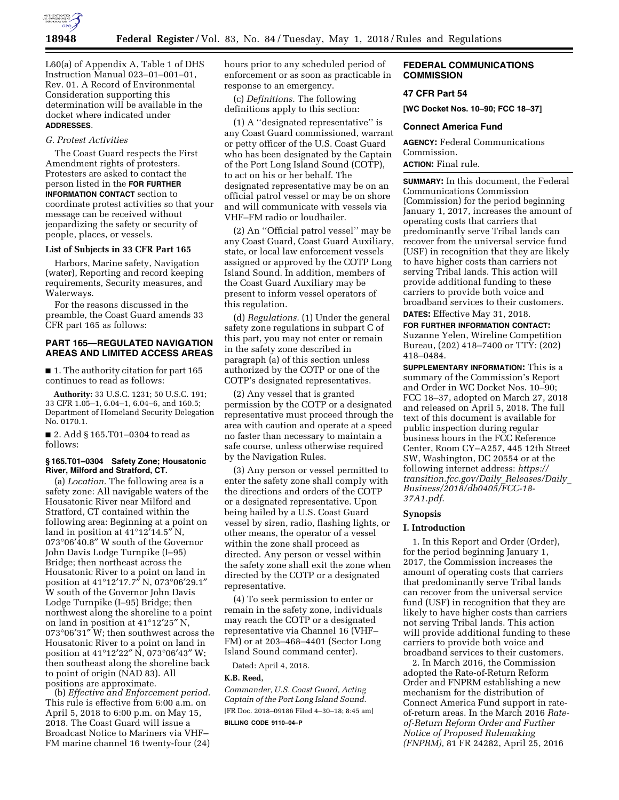

L60(a) of Appendix A, Table 1 of DHS Instruction Manual 023–01–001–01, Rev. 01. A Record of Environmental Consideration supporting this determination will be available in the docket where indicated under **ADDRESSES**.

### *G. Protest Activities*

The Coast Guard respects the First Amendment rights of protesters. Protesters are asked to contact the person listed in the **FOR FURTHER INFORMATION CONTACT** section to coordinate protest activities so that your message can be received without jeopardizing the safety or security of people, places, or vessels.

#### **List of Subjects in 33 CFR Part 165**

Harbors, Marine safety, Navigation (water), Reporting and record keeping requirements, Security measures, and Waterways.

For the reasons discussed in the preamble, the Coast Guard amends 33 CFR part 165 as follows:

# **PART 165—REGULATED NAVIGATION AREAS AND LIMITED ACCESS AREAS**

■ 1. The authority citation for part 165 continues to read as follows:

**Authority:** 33 U.S.C. 1231; 50 U.S.C. 191; 33 CFR 1.05–1, 6.04–1, 6.04–6, and 160.5; Department of Homeland Security Delegation No. 0170.1.

■ 2. Add § 165.T01–0304 to read as follows:

### **§ 165.T01–0304 Safety Zone; Housatonic River, Milford and Stratford, CT.**

(a) *Location.* The following area is a safety zone: All navigable waters of the Housatonic River near Milford and Stratford, CT contained within the following area: Beginning at a point on land in position at 41°12′14.5″ N, 073°06′40.8″ W south of the Governor John Davis Lodge Turnpike (I–95) Bridge; then northeast across the Housatonic River to a point on land in position at 41°12′17.7″ N, 073°06′29.1″ W south of the Governor John Davis Lodge Turnpike (I–95) Bridge; then northwest along the shoreline to a point on land in position at 41°12′25″ N, 073°06′31″ W; then southwest across the Housatonic River to a point on land in position at 41°12′22″ N, 073°06′43″ W; then southeast along the shoreline back to point of origin (NAD 83). All positions are approximate.

(b) *Effective and Enforcement period.*  This rule is effective from 6:00 a.m. on April 5, 2018 to 6:00 p.m. on May 15, 2018. The Coast Guard will issue a Broadcast Notice to Mariners via VHF– FM marine channel 16 twenty-four (24) hours prior to any scheduled period of enforcement or as soon as practicable in response to an emergency.

(c) *Definitions.* The following definitions apply to this section:

(1) A ''designated representative'' is any Coast Guard commissioned, warrant or petty officer of the U.S. Coast Guard who has been designated by the Captain of the Port Long Island Sound (COTP), to act on his or her behalf. The designated representative may be on an official patrol vessel or may be on shore and will communicate with vessels via VHF–FM radio or loudhailer.

(2) An ''Official patrol vessel'' may be any Coast Guard, Coast Guard Auxiliary, state, or local law enforcement vessels assigned or approved by the COTP Long Island Sound. In addition, members of the Coast Guard Auxiliary may be present to inform vessel operators of this regulation.

(d) *Regulations.* (1) Under the general safety zone regulations in subpart C of this part, you may not enter or remain in the safety zone described in paragraph (a) of this section unless authorized by the COTP or one of the COTP's designated representatives.

(2) Any vessel that is granted permission by the COTP or a designated representative must proceed through the area with caution and operate at a speed no faster than necessary to maintain a safe course, unless otherwise required by the Navigation Rules.

(3) Any person or vessel permitted to enter the safety zone shall comply with the directions and orders of the COTP or a designated representative. Upon being hailed by a U.S. Coast Guard vessel by siren, radio, flashing lights, or other means, the operator of a vessel within the zone shall proceed as directed. Any person or vessel within the safety zone shall exit the zone when directed by the COTP or a designated representative.

(4) To seek permission to enter or remain in the safety zone, individuals may reach the COTP or a designated representative via Channel 16 (VHF– FM) or at 203–468–4401 (Sector Long Island Sound command center).

Dated: April 4, 2018.

## **K.B. Reed,**

*Commander, U.S. Coast Guard, Acting Captain of the Port Long Island Sound.*  [FR Doc. 2018–09186 Filed 4–30–18; 8:45 am] **BILLING CODE 9110–04–P** 

### **FEDERAL COMMUNICATIONS COMMISSION**

# **47 CFR Part 54**

**[WC Docket Nos. 10–90; FCC 18–37]** 

#### **Connect America Fund**

**AGENCY:** Federal Communications Commission.

# **ACTION:** Final rule.

**SUMMARY:** In this document, the Federal Communications Commission (Commission) for the period beginning January 1, 2017, increases the amount of operating costs that carriers that predominantly serve Tribal lands can recover from the universal service fund (USF) in recognition that they are likely to have higher costs than carriers not serving Tribal lands. This action will provide additional funding to these carriers to provide both voice and broadband services to their customers. **DATES:** Effective May 31, 2018.

**FOR FURTHER INFORMATION CONTACT:**  Suzanne Yelen, Wireline Competition Bureau, (202) 418–7400 or TTY: (202) 418–0484.

**SUPPLEMENTARY INFORMATION:** This is a summary of the Commission's Report and Order in WC Docket Nos. 10–90; FCC 18–37, adopted on March 27, 2018 and released on April 5, 2018. The full text of this document is available for public inspection during regular business hours in the FCC Reference Center, Room CY–A257, 445 12th Street SW, Washington, DC 20554 or at the following internet address: *[https://](https://transition.fcc.gov/Daily_Releases/Daily_Business/2018/db0405/FCC-18-37A1.pdf) [transition.fcc.gov/Daily](https://transition.fcc.gov/Daily_Releases/Daily_Business/2018/db0405/FCC-18-37A1.pdf)*\_*Releases/Daily*\_ *[Business/2018/db0405/FCC-18-](https://transition.fcc.gov/Daily_Releases/Daily_Business/2018/db0405/FCC-18-37A1.pdf)  [37A1.pdf](https://transition.fcc.gov/Daily_Releases/Daily_Business/2018/db0405/FCC-18-37A1.pdf)*.

#### **Synopsis**

#### **I. Introduction**

1. In this Report and Order (Order), for the period beginning January 1, 2017, the Commission increases the amount of operating costs that carriers that predominantly serve Tribal lands can recover from the universal service fund (USF) in recognition that they are likely to have higher costs than carriers not serving Tribal lands. This action will provide additional funding to these carriers to provide both voice and broadband services to their customers.

2. In March 2016, the Commission adopted the Rate-of-Return Reform Order and FNPRM establishing a new mechanism for the distribution of Connect America Fund support in rateof-return areas. In the March 2016 *Rateof-Return Reform Order and Further Notice of Proposed Rulemaking (FNPRM),* 81 FR 24282, April 25, 2016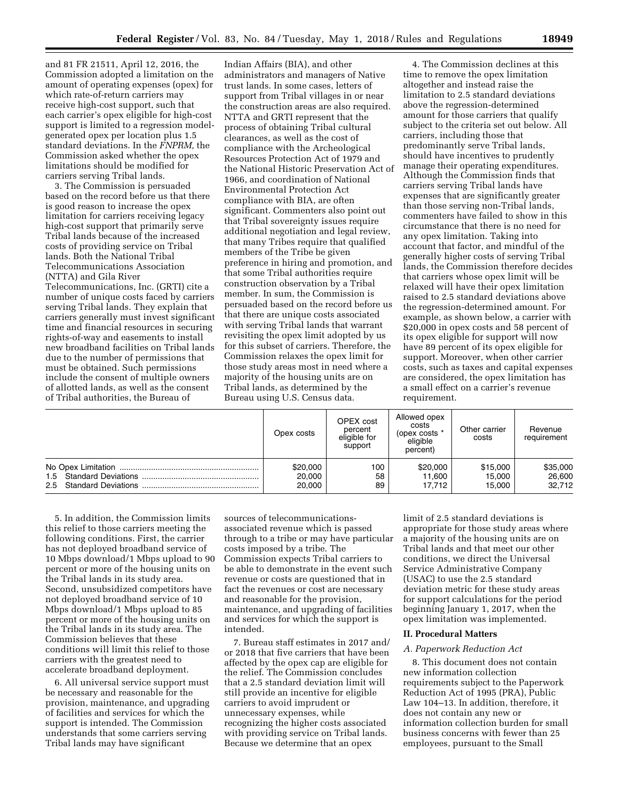and 81 FR 21511, April 12, 2016, the Commission adopted a limitation on the amount of operating expenses (opex) for which rate-of-return carriers may receive high-cost support, such that each carrier's opex eligible for high-cost support is limited to a regression modelgenerated opex per location plus 1.5 standard deviations. In the *FNPRM,* the Commission asked whether the opex limitations should be modified for carriers serving Tribal lands.

3. The Commission is persuaded based on the record before us that there is good reason to increase the opex limitation for carriers receiving legacy high-cost support that primarily serve Tribal lands because of the increased costs of providing service on Tribal lands. Both the National Tribal Telecommunications Association (NTTA) and Gila River Telecommunications, Inc. (GRTI) cite a

number of unique costs faced by carriers serving Tribal lands. They explain that carriers generally must invest significant time and financial resources in securing rights-of-way and easements to install new broadband facilities on Tribal lands due to the number of permissions that must be obtained. Such permissions include the consent of multiple owners of allotted lands, as well as the consent of Tribal authorities, the Bureau of

Indian Affairs (BIA), and other administrators and managers of Native trust lands. In some cases, letters of support from Tribal villages in or near the construction areas are also required. NTTA and GRTI represent that the process of obtaining Tribal cultural clearances, as well as the cost of compliance with the Archeological Resources Protection Act of 1979 and the National Historic Preservation Act of 1966, and coordination of National Environmental Protection Act compliance with BIA, are often significant. Commenters also point out that Tribal sovereignty issues require additional negotiation and legal review, that many Tribes require that qualified members of the Tribe be given preference in hiring and promotion, and that some Tribal authorities require construction observation by a Tribal member. In sum, the Commission is persuaded based on the record before us that there are unique costs associated with serving Tribal lands that warrant revisiting the opex limit adopted by us for this subset of carriers. Therefore, the Commission relaxes the opex limit for those study areas most in need where a majority of the housing units are on Tribal lands, as determined by the Bureau using U.S. Census data.

4. The Commission declines at this time to remove the opex limitation altogether and instead raise the limitation to 2.5 standard deviations above the regression-determined amount for those carriers that qualify subject to the criteria set out below. All carriers, including those that predominantly serve Tribal lands, should have incentives to prudently manage their operating expenditures. Although the Commission finds that carriers serving Tribal lands have expenses that are significantly greater than those serving non-Tribal lands, commenters have failed to show in this circumstance that there is no need for any opex limitation. Taking into account that factor, and mindful of the generally higher costs of serving Tribal lands, the Commission therefore decides that carriers whose opex limit will be relaxed will have their opex limitation raised to 2.5 standard deviations above the regression-determined amount. For example, as shown below, a carrier with \$20,000 in opex costs and 58 percent of its opex eligible for support will now have 89 percent of its opex eligible for support. Moreover, when other carrier costs, such as taxes and capital expenses are considered, the opex limitation has a small effect on a carrier's revenue requirement.

| Opex costs | <b>OPEX</b> cost<br>percent<br>eligible for<br>support | Allowed opex<br>costs<br>(opex costs *<br>eligible<br>percent) | Other carrier<br>costs | Revenue<br>requirement |
|------------|--------------------------------------------------------|----------------------------------------------------------------|------------------------|------------------------|
| \$20,000   | 100                                                    | \$20,000                                                       | \$15,000               | \$35,000               |
| 20,000     | 58                                                     | 11.600                                                         | 15.000                 | 26,600                 |
| 20,000     | 89                                                     | 17.712                                                         | 15.000                 | 32.712                 |

5. In addition, the Commission limits this relief to those carriers meeting the following conditions. First, the carrier has not deployed broadband service of 10 Mbps download/1 Mbps upload to 90 percent or more of the housing units on the Tribal lands in its study area. Second, unsubsidized competitors have not deployed broadband service of 10 Mbps download/1 Mbps upload to 85 percent or more of the housing units on the Tribal lands in its study area. The Commission believes that these conditions will limit this relief to those carriers with the greatest need to accelerate broadband deployment.

6. All universal service support must be necessary and reasonable for the provision, maintenance, and upgrading of facilities and services for which the support is intended. The Commission understands that some carriers serving Tribal lands may have significant

sources of telecommunicationsassociated revenue which is passed through to a tribe or may have particular costs imposed by a tribe. The Commission expects Tribal carriers to be able to demonstrate in the event such revenue or costs are questioned that in fact the revenues or cost are necessary and reasonable for the provision, maintenance, and upgrading of facilities and services for which the support is intended.

7. Bureau staff estimates in 2017 and/ or 2018 that five carriers that have been affected by the opex cap are eligible for the relief. The Commission concludes that a 2.5 standard deviation limit will still provide an incentive for eligible carriers to avoid imprudent or unnecessary expenses, while recognizing the higher costs associated with providing service on Tribal lands. Because we determine that an opex

limit of 2.5 standard deviations is appropriate for those study areas where a majority of the housing units are on Tribal lands and that meet our other conditions, we direct the Universal Service Administrative Company (USAC) to use the 2.5 standard deviation metric for these study areas for support calculations for the period beginning January 1, 2017, when the opex limitation was implemented.

#### **II. Procedural Matters**

#### *A. Paperwork Reduction Act*

8. This document does not contain new information collection requirements subject to the Paperwork Reduction Act of 1995 (PRA), Public Law 104–13. In addition, therefore, it does not contain any new or information collection burden for small business concerns with fewer than 25 employees, pursuant to the Small